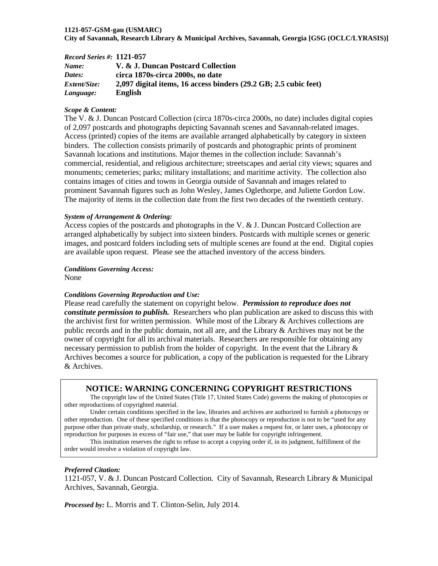#### **1121-057-GSM-gau (USMARC)**

**City of Savannah, Research Library & Municipal Archives, Savannah, Georgia [GSG (OCLC/LYRASIS)]**

| <b>Record Series #: 1121-057</b> |                                                                  |
|----------------------------------|------------------------------------------------------------------|
| Name:                            | V. & J. Duncan Postcard Collection                               |
| Dates:                           | circa 1870s-circa 2000s, no date                                 |
| <i>Extent/Size:</i>              | 2,097 digital items, 16 access binders (29.2 GB; 2.5 cubic feet) |
| Language:                        | <b>English</b>                                                   |

#### *Scope & Content:*

The V. & J. Duncan Postcard Collection (circa 1870s-circa 2000s, no date) includes digital copies of 2,097 postcards and photographs depicting Savannah scenes and Savannah-related images. Access (printed) copies of the items are available arranged alphabetically by category in sixteen binders. The collection consists primarily of postcards and photographic prints of prominent Savannah locations and institutions. Major themes in the collection include: Savannah's commercial, residential, and religious architecture; streetscapes and aerial city views; squares and monuments; cemeteries; parks; military installations; and maritime activity. The collection also contains images of cities and towns in Georgia outside of Savannah and images related to prominent Savannah figures such as John Wesley, James Oglethorpe, and Juliette Gordon Low. The majority of items in the collection date from the first two decades of the twentieth century.

#### *System of Arrangement & Ordering:*

Access copies of the postcards and photographs in the V. & J. Duncan Postcard Collection are arranged alphabetically by subject into sixteen binders. Postcards with multiple scenes or generic images, and postcard folders including sets of multiple scenes are found at the end. Digital copies are available upon request. Please see the attached inventory of the access binders.

#### *Conditions Governing Access:*

None

#### *Conditions Governing Reproduction and Use:*

Please read carefully the statement on copyright below. *Permission to reproduce does not constitute permission to publish.* Researchers who plan publication are asked to discuss this with the archivist first for written permission. While most of the Library  $\&$  Archives collections are public records and in the public domain, not all are, and the Library & Archives may not be the owner of copyright for all its archival materials. Researchers are responsible for obtaining any necessary permission to publish from the holder of copyright. In the event that the Library  $\&$ Archives becomes a source for publication, a copy of the publication is requested for the Library & Archives.

## **NOTICE: WARNING CONCERNING COPYRIGHT RESTRICTIONS**

The copyright law of the United States (Title 17, United States Code) governs the making of photocopies or other reproductions of copyrighted material.

Under certain conditions specified in the law, libraries and archives are authorized to furnish a photocopy or other reproduction. One of these specified conditions is that the photocopy or reproduction is not to be "used for any purpose other than private study, scholarship, or research." If a user makes a request for, or later uses, a photocopy or reproduction for purposes in excess of "fair use," that user may be liable for copyright infringement.

This institution reserves the right to refuse to accept a copying order if, in its judgment, fulfillment of the order would involve a violation of copyright law.

#### *Preferred Citation:*

1121-057, V. & J. Duncan Postcard Collection. City of Savannah, Research Library & Municipal Archives, Savannah, Georgia.

*Processed by:* L. Morris and T. Clinton-Selin, July 2014.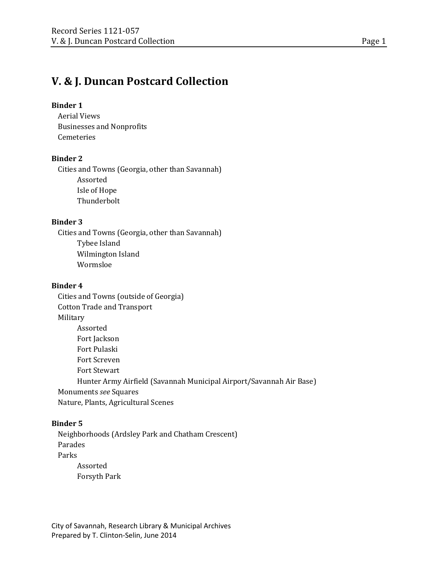# **V. & J. Duncan Postcard Collection**

# **Binder 1**

Aerial Views Businesses and Nonprofits Cemeteries

# **Binder 2**

Cities and Towns (Georgia, other than Savannah) Assorted Isle of Hope Thunderbolt

# **Binder 3**

Cities and Towns (Georgia, other than Savannah) Tybee Island Wilmington Island Wormsloe

# **Binder 4**

Cities and Towns (outside of Georgia) Cotton Trade and Transport Military Assorted Fort Jackson Fort Pulaski Fort Screven Fort Stewart Hunter Army Airfield (Savannah Municipal Airport/Savannah Air Base) Monuments *see* Squares Nature, Plants, Agricultural Scenes

# **Binder 5**

Neighborhoods (Ardsley Park and Chatham Crescent) Parades Parks Assorted Forsyth Park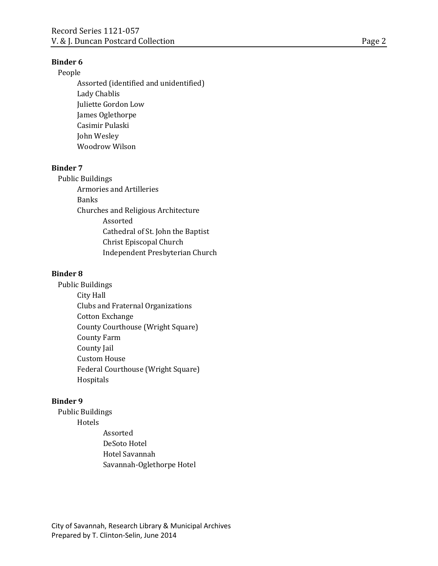#### **Binder 6**

# People

Assorted (identified and unidentified) Lady Chablis Juliette Gordon Low James Oglethorpe Casimir Pulaski John Wesley Woodrow Wilson

## **Binder 7**

Public Buildings Armories and Artilleries Banks Churches and Religious Architecture Assorted Cathedral of St. John the Baptist Christ Episcopal Church Independent Presbyterian Church

#### **Binder 8**

Public Buildings City Hall Clubs and Fraternal Organizations Cotton Exchange County Courthouse (Wright Square) County Farm County Jail Custom House Federal Courthouse (Wright Square) Hospitals

# **Binder 9**

- Public Buildings Hotels
	- Assorted DeSoto Hotel Hotel Savannah Savannah-Oglethorpe Hotel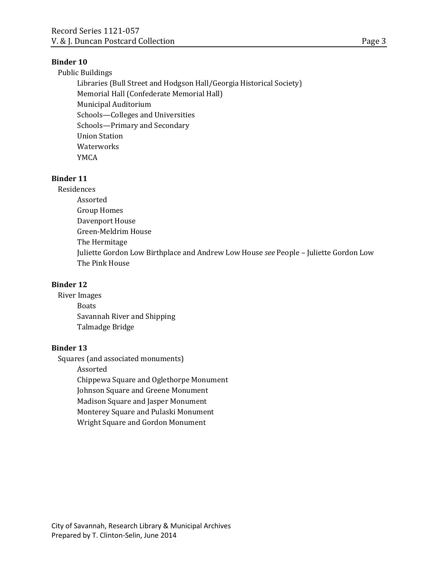#### **Binder 10**

Public Buildings Libraries (Bull Street and Hodgson Hall/Georgia Historical Society) Memorial Hall (Confederate Memorial Hall) Municipal Auditorium Schools—Colleges and Universities Schools—Primary and Secondary Union Station **Waterworks** YMCA

## **Binder 11**

Residences Assorted

Group Homes Davenport House Green-Meldrim House The Hermitage Juliette Gordon Low Birthplace and Andrew Low House *see* People – Juliette Gordon Low The Pink House

## **Binder 12**

River Images **Boats** Savannah River and Shipping Talmadge Bridge

# **Binder 13**

Squares (and associated monuments) Assorted Chippewa Square and Oglethorpe Monument Johnson Square and Greene Monument Madison Square and Jasper Monument Monterey Square and Pulaski Monument Wright Square and Gordon Monument